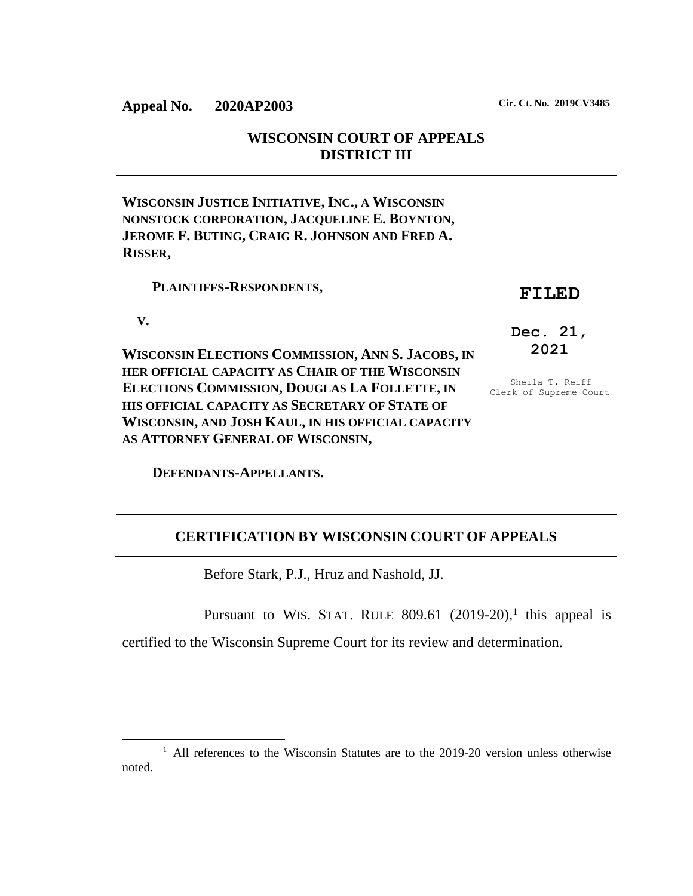**WISCONSIN COURT OF APPEALS DISTRICT III**

**WISCONSIN JUSTICE INITIATIVE, INC., A WISCONSIN NONSTOCK CORPORATION, JACQUELINE E. BOYNTON, JEROME F. BUTING, CRAIG R. JOHNSON AND FRED A. RISSER,**

 **PLAINTIFFS-RESPONDENTS,**

## **FILED**

 **V.**

l

**WISCONSIN ELECTIONS COMMISSION, ANN S. JACOBS, IN HER OFFICIAL CAPACITY AS CHAIR OF THE WISCONSIN ELECTIONS COMMISSION, DOUGLAS LA FOLLETTE, IN HIS OFFICIAL CAPACITY AS SECRETARY OF STATE OF WISCONSIN, AND JOSH KAUL, IN HIS OFFICIAL CAPACITY AS ATTORNEY GENERAL OF WISCONSIN,**

**Dec. 21, 2021**

Sheila T. Reiff Clerk of Supreme Court

 **DEFENDANTS-APPELLANTS.**

# **CERTIFICATION BY WISCONSIN COURT OF APPEALS**

Before Stark, P.J., Hruz and Nashold, JJ.

Pursuant to WIS. STAT. RULE  $809.61$  (2019-20),<sup>1</sup> this appeal is certified to the Wisconsin Supreme Court for its review and determination.

<sup>&</sup>lt;sup>1</sup> All references to the Wisconsin Statutes are to the 2019-20 version unless otherwise noted.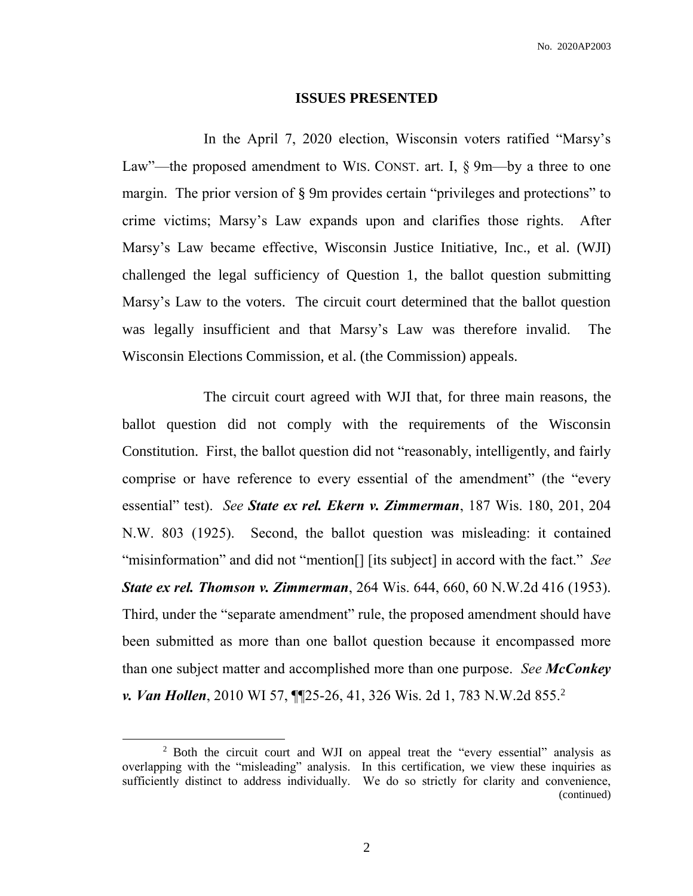#### **ISSUES PRESENTED**

In the April 7, 2020 election, Wisconsin voters ratified "Marsy's Law"—the proposed amendment to WIS. CONST. art. I, § 9m—by a three to one margin. The prior version of § 9m provides certain "privileges and protections" to crime victims; Marsy's Law expands upon and clarifies those rights. After Marsy's Law became effective, Wisconsin Justice Initiative, Inc., et al. (WJI) challenged the legal sufficiency of Question 1, the ballot question submitting Marsy's Law to the voters. The circuit court determined that the ballot question was legally insufficient and that Marsy's Law was therefore invalid. The Wisconsin Elections Commission, et al. (the Commission) appeals.

The circuit court agreed with WJI that, for three main reasons, the ballot question did not comply with the requirements of the Wisconsin Constitution. First, the ballot question did not "reasonably, intelligently, and fairly comprise or have reference to every essential of the amendment" (the "every essential" test). *See State ex rel. Ekern v. Zimmerman*, 187 Wis. 180, 201, 204 N.W. 803 (1925). Second, the ballot question was misleading: it contained "misinformation" and did not "mention[] [its subject] in accord with the fact." *See State ex rel. Thomson v. Zimmerman*, 264 Wis. 644, 660, 60 N.W.2d 416 (1953). Third, under the "separate amendment" rule, the proposed amendment should have been submitted as more than one ballot question because it encompassed more than one subject matter and accomplished more than one purpose. *See McConkey v. Van Hollen*, 2010 WI 57, ¶¶25-26, 41, 326 Wis. 2d 1, 783 N.W.2d 855.<sup>2</sup>

 $\overline{\phantom{a}}$ 

<sup>&</sup>lt;sup>2</sup> Both the circuit court and WJI on appeal treat the "every essential" analysis as overlapping with the "misleading" analysis. In this certification, we view these inquiries as sufficiently distinct to address individually. We do so strictly for clarity and convenience, (continued)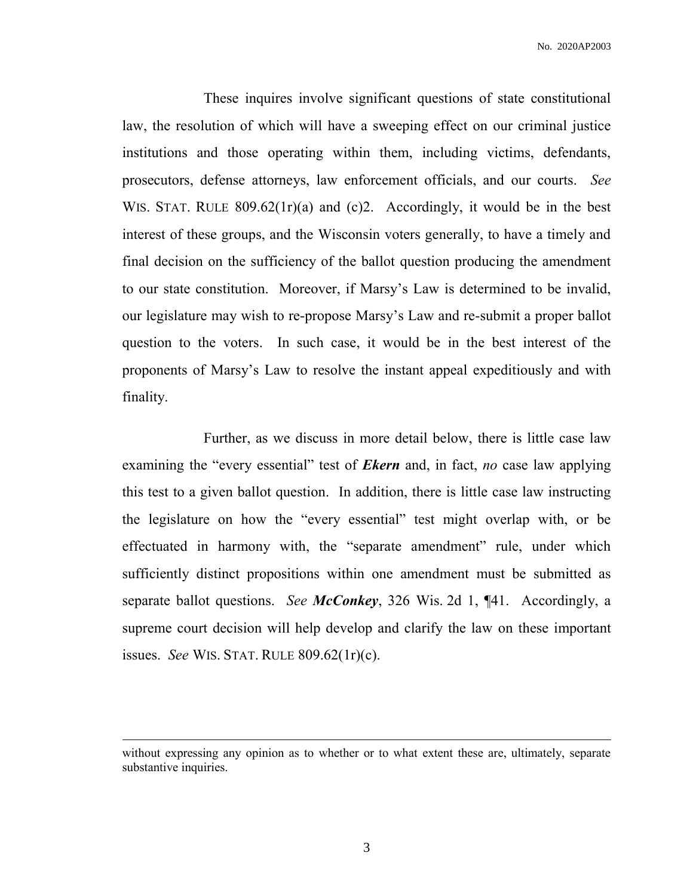These inquires involve significant questions of state constitutional law, the resolution of which will have a sweeping effect on our criminal justice institutions and those operating within them, including victims, defendants, prosecutors, defense attorneys, law enforcement officials, and our courts. *See*  WIS. STAT. RULE 809.62(1r)(a) and (c)2. Accordingly, it would be in the best interest of these groups, and the Wisconsin voters generally, to have a timely and final decision on the sufficiency of the ballot question producing the amendment to our state constitution. Moreover, if Marsy's Law is determined to be invalid, our legislature may wish to re-propose Marsy's Law and re-submit a proper ballot question to the voters. In such case, it would be in the best interest of the proponents of Marsy's Law to resolve the instant appeal expeditiously and with finality.

Further, as we discuss in more detail below, there is little case law examining the "every essential" test of *Ekern* and, in fact, *no* case law applying this test to a given ballot question. In addition, there is little case law instructing the legislature on how the "every essential" test might overlap with, or be effectuated in harmony with, the "separate amendment" rule, under which sufficiently distinct propositions within one amendment must be submitted as separate ballot questions. *See McConkey*, 326 Wis. 2d 1, ¶41. Accordingly, a supreme court decision will help develop and clarify the law on these important issues. *See* WIS. STAT. RULE 809.62(1r)(c).

l

without expressing any opinion as to whether or to what extent these are, ultimately, separate substantive inquiries.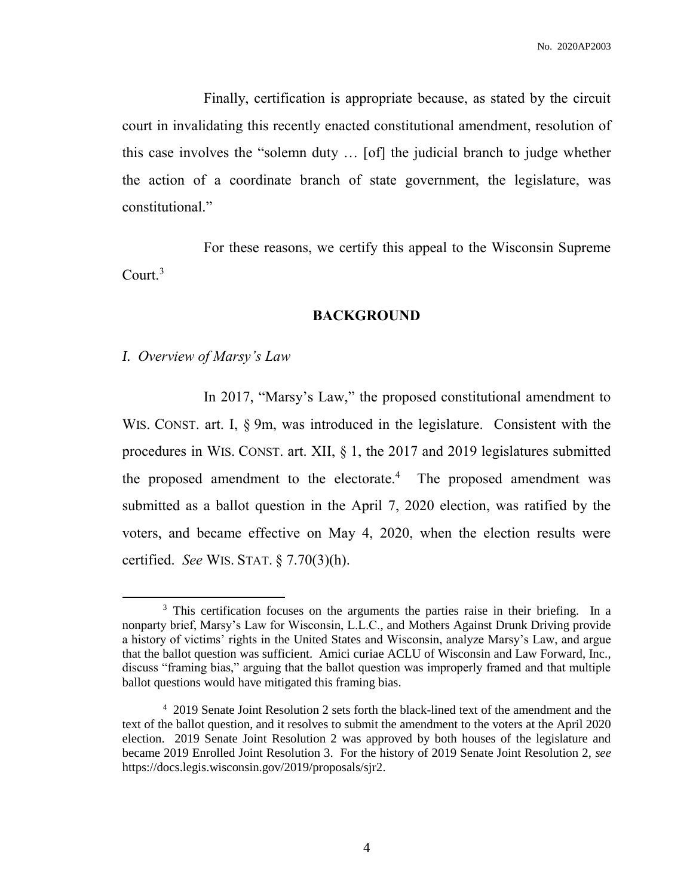Finally, certification is appropriate because, as stated by the circuit court in invalidating this recently enacted constitutional amendment, resolution of this case involves the "solemn duty … [of] the judicial branch to judge whether the action of a coordinate branch of state government, the legislature, was constitutional."

For these reasons, we certify this appeal to the Wisconsin Supreme Court.<sup>3</sup>

### **BACKGROUND**

*I. Overview of Marsy's Law*

 $\overline{\phantom{a}}$ 

In 2017, "Marsy's Law," the proposed constitutional amendment to WIS. CONST. art. I,  $\S$  9m, was introduced in the legislature. Consistent with the procedures in WIS. CONST. art. XII, § 1, the 2017 and 2019 legislatures submitted the proposed amendment to the electorate. $4$  The proposed amendment was submitted as a ballot question in the April 7, 2020 election, was ratified by the voters, and became effective on May 4, 2020, when the election results were certified. *See* WIS. STAT. § 7.70(3)(h).

<sup>&</sup>lt;sup>3</sup> This certification focuses on the arguments the parties raise in their briefing. In a nonparty brief, Marsy's Law for Wisconsin, L.L.C., and Mothers Against Drunk Driving provide a history of victims' rights in the United States and Wisconsin, analyze Marsy's Law, and argue that the ballot question was sufficient. Amici curiae ACLU of Wisconsin and Law Forward, Inc., discuss "framing bias," arguing that the ballot question was improperly framed and that multiple ballot questions would have mitigated this framing bias.

<sup>4</sup> 2019 Senate Joint Resolution 2 sets forth the black-lined text of the amendment and the text of the ballot question, and it resolves to submit the amendment to the voters at the April 2020 election. 2019 Senate Joint Resolution 2 was approved by both houses of the legislature and became 2019 Enrolled Joint Resolution 3. For the history of 2019 Senate Joint Resolution 2, *see*  https://docs.legis.wisconsin.gov/2019/proposals/sjr2.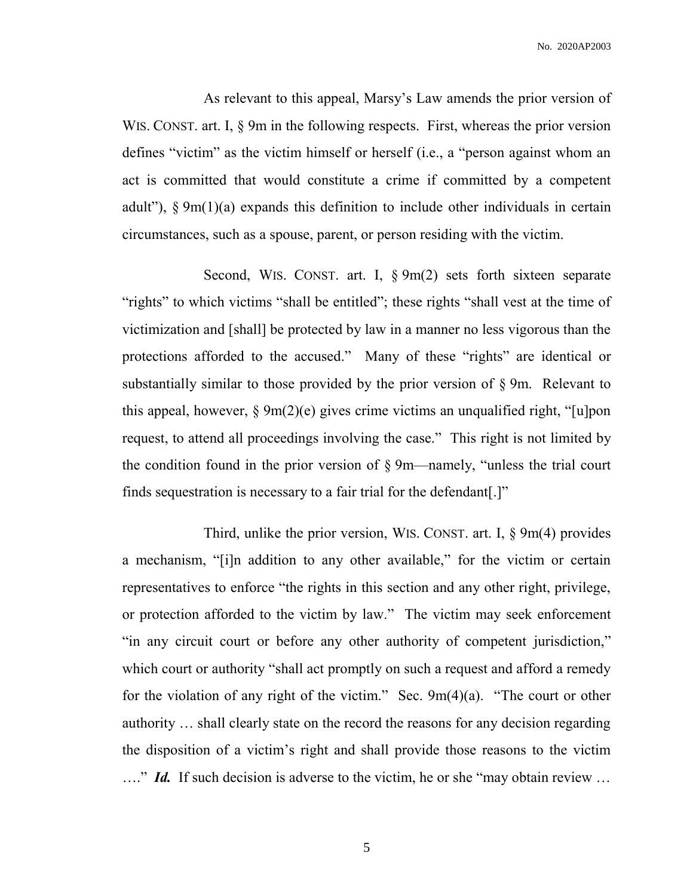As relevant to this appeal, Marsy's Law amends the prior version of WIS. CONST. art. I,  $\S$  9m in the following respects. First, whereas the prior version defines "victim" as the victim himself or herself (i.e., a "person against whom an act is committed that would constitute a crime if committed by a competent adult"), § 9m(1)(a) expands this definition to include other individuals in certain circumstances, such as a spouse, parent, or person residing with the victim.

Second, WIS. CONST. art. I, § 9m(2) sets forth sixteen separate "rights" to which victims "shall be entitled"; these rights "shall vest at the time of victimization and [shall] be protected by law in a manner no less vigorous than the protections afforded to the accused." Many of these "rights" are identical or substantially similar to those provided by the prior version of § 9m. Relevant to this appeal, however,  $\S \ \frac{\Theta m(2)}{e}$  gives crime victims an unqualified right, "[u]pon request, to attend all proceedings involving the case." This right is not limited by the condition found in the prior version of § 9m—namely, "unless the trial court finds sequestration is necessary to a fair trial for the defendant[.]"

Third, unlike the prior version, WIS. CONST. art. I, § 9m(4) provides a mechanism, "[i]n addition to any other available," for the victim or certain representatives to enforce "the rights in this section and any other right, privilege, or protection afforded to the victim by law." The victim may seek enforcement "in any circuit court or before any other authority of competent jurisdiction," which court or authority "shall act promptly on such a request and afford a remedy for the violation of any right of the victim." Sec. 9m(4)(a). "The court or other authority … shall clearly state on the record the reasons for any decision regarding the disposition of a victim's right and shall provide those reasons to the victim ...." *Id.* If such decision is adverse to the victim, he or she "may obtain review ...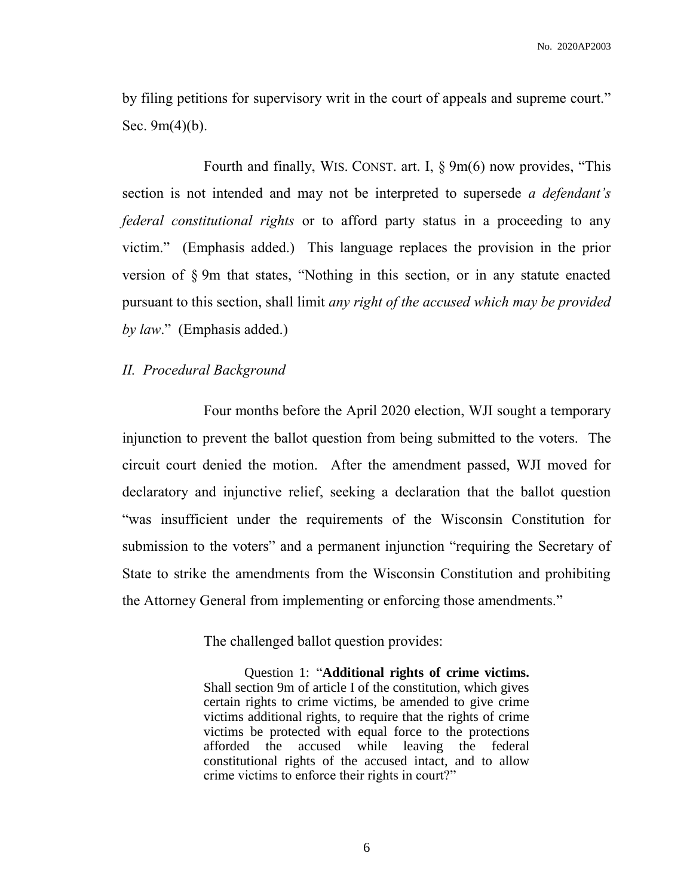by filing petitions for supervisory writ in the court of appeals and supreme court." Sec.  $9m(4)(b)$ .

Fourth and finally, WIS. CONST. art. I, § 9m(6) now provides, "This section is not intended and may not be interpreted to supersede *a defendant's federal constitutional rights* or to afford party status in a proceeding to any victim." (Emphasis added.) This language replaces the provision in the prior version of § 9m that states, "Nothing in this section, or in any statute enacted pursuant to this section, shall limit *any right of the accused which may be provided by law*." (Emphasis added.)

## *II. Procedural Background*

Four months before the April 2020 election, WJI sought a temporary injunction to prevent the ballot question from being submitted to the voters. The circuit court denied the motion. After the amendment passed, WJI moved for declaratory and injunctive relief, seeking a declaration that the ballot question "was insufficient under the requirements of the Wisconsin Constitution for submission to the voters" and a permanent injunction "requiring the Secretary of State to strike the amendments from the Wisconsin Constitution and prohibiting the Attorney General from implementing or enforcing those amendments."

The challenged ballot question provides:

Question 1: "**Additional rights of crime victims.** Shall section 9m of article I of the constitution, which gives certain rights to crime victims, be amended to give crime victims additional rights, to require that the rights of crime victims be protected with equal force to the protections afforded the accused while leaving the federal constitutional rights of the accused intact, and to allow crime victims to enforce their rights in court?"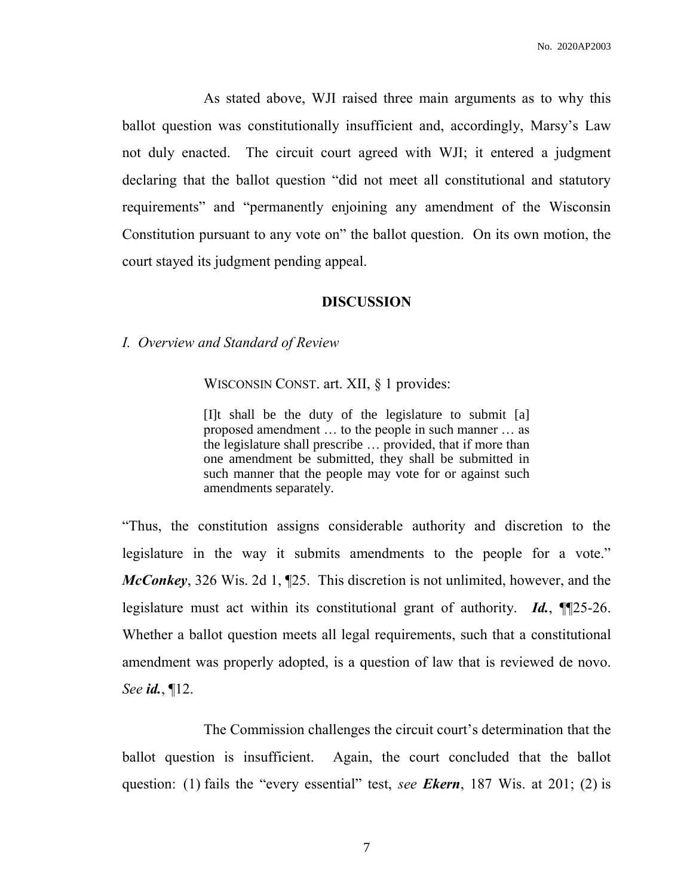As stated above, WJI raised three main arguments as to why this ballot question was constitutionally insufficient and, accordingly, Marsy's Law not duly enacted. The circuit court agreed with WJI; it entered a judgment declaring that the ballot question "did not meet all constitutional and statutory requirements" and "permanently enjoining any amendment of the Wisconsin Constitution pursuant to any vote on" the ballot question. On its own motion, the court stayed its judgment pending appeal.

#### **DISCUSSION**

*I. Overview and Standard of Review*

WISCONSIN CONST. art. XII, § 1 provides:

[I]t shall be the duty of the legislature to submit [a] proposed amendment … to the people in such manner … as the legislature shall prescribe … provided, that if more than one amendment be submitted, they shall be submitted in such manner that the people may vote for or against such amendments separately.

"Thus, the constitution assigns considerable authority and discretion to the legislature in the way it submits amendments to the people for a vote." *McConkey*, 326 Wis. 2d 1, ¶25. This discretion is not unlimited, however, and the legislature must act within its constitutional grant of authority. *Id.*, ¶¶25-26. Whether a ballot question meets all legal requirements, such that a constitutional amendment was properly adopted, is a question of law that is reviewed de novo. *See id.*, ¶12.

The Commission challenges the circuit court's determination that the ballot question is insufficient. Again, the court concluded that the ballot question: (1) fails the "every essential" test, *see Ekern*, 187 Wis. at 201; (2) is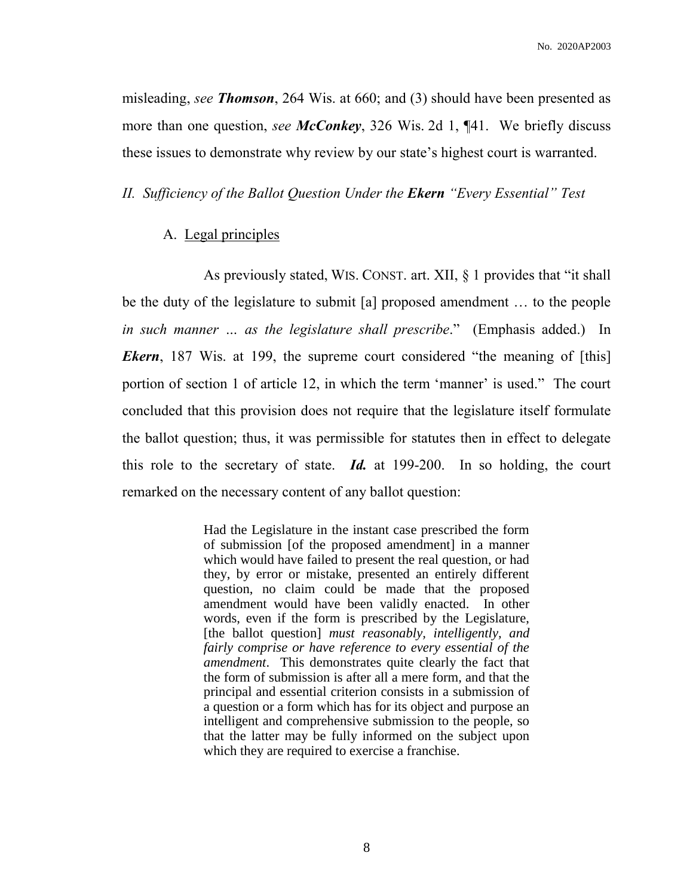misleading, *see Thomson*, 264 Wis. at 660; and (3) should have been presented as more than one question, *see McConkey*, 326 Wis. 2d 1, ¶41. We briefly discuss these issues to demonstrate why review by our state's highest court is warranted.

*II. Sufficiency of the Ballot Question Under the Ekern "Every Essential" Test*

## A. Legal principles

As previously stated, WIS. CONST. art. XII, § 1 provides that "it shall be the duty of the legislature to submit [a] proposed amendment … to the people *in such manner … as the legislature shall prescribe*." (Emphasis added.) In *Ekern*, 187 Wis. at 199, the supreme court considered "the meaning of [this] portion of section 1 of article 12, in which the term 'manner' is used." The court concluded that this provision does not require that the legislature itself formulate the ballot question; thus, it was permissible for statutes then in effect to delegate this role to the secretary of state. *Id.* at 199-200.In so holding, the court remarked on the necessary content of any ballot question:

> Had the Legislature in the instant case prescribed the form of submission [of the proposed amendment] in a manner which would have failed to present the real question, or had they, by error or mistake, presented an entirely different question, no claim could be made that the proposed amendment would have been validly enacted. In other words, even if the form is prescribed by the Legislature, [the ballot question] *must reasonably, intelligently, and fairly comprise or have reference to every essential of the amendment*. This demonstrates quite clearly the fact that the form of submission is after all a mere form, and that the principal and essential criterion consists in a submission of a question or a form which has for its object and purpose an intelligent and comprehensive submission to the people, so that the latter may be fully informed on the subject upon which they are required to exercise a franchise.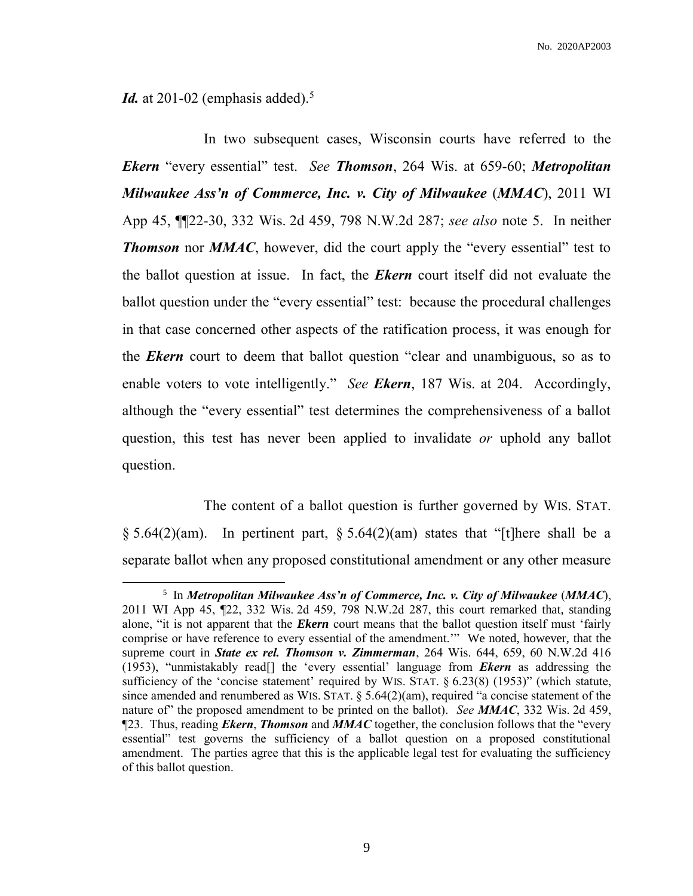*Id.* at 201-02 (emphasis added).<sup>5</sup>

l

In two subsequent cases, Wisconsin courts have referred to the *Ekern* "every essential" test. *See Thomson*, 264 Wis. at 659-60; *Metropolitan Milwaukee Ass'n of Commerce, Inc. v. City of Milwaukee* (*MMAC*), 2011 WI App 45, ¶¶22-30, 332 Wis. 2d 459, 798 N.W.2d 287; *see also* note 5. In neither *Thomson* nor *MMAC*, however, did the court apply the "every essential" test to the ballot question at issue. In fact, the *Ekern* court itself did not evaluate the ballot question under the "every essential" test: because the procedural challenges in that case concerned other aspects of the ratification process, it was enough for the *Ekern* court to deem that ballot question "clear and unambiguous, so as to enable voters to vote intelligently." *See Ekern*, 187 Wis. at 204. Accordingly, although the "every essential" test determines the comprehensiveness of a ballot question, this test has never been applied to invalidate *or* uphold any ballot question.

The content of a ballot question is further governed by WIS. STAT.  $\S 5.64(2)(am)$ . In pertinent part,  $\S 5.64(2)(am)$  states that "[t]here shall be a separate ballot when any proposed constitutional amendment or any other measure

<sup>5</sup> In *Metropolitan Milwaukee Ass'n of Commerce, Inc. v. City of Milwaukee* (*MMAC*), 2011 WI App 45, ¶22, 332 Wis. 2d 459, 798 N.W.2d 287, this court remarked that, standing alone, "it is not apparent that the *Ekern* court means that the ballot question itself must 'fairly comprise or have reference to every essential of the amendment.'" We noted, however, that the supreme court in *State ex rel. Thomson v. Zimmerman*, 264 Wis. 644, 659, 60 N.W.2d 416 (1953), "unmistakably read[] the 'every essential' language from *Ekern* as addressing the sufficiency of the 'concise statement' required by WIS. STAT. § 6.23(8) (1953)" (which statute, since amended and renumbered as WIS. STAT.  $\S$  5.64(2)(am), required "a concise statement of the nature of" the proposed amendment to be printed on the ballot). *See MMAC*, 332 Wis. 2d 459, ¶23. Thus, reading *Ekern*, *Thomson* and *MMAC* together, the conclusion follows that the "every essential" test governs the sufficiency of a ballot question on a proposed constitutional amendment. The parties agree that this is the applicable legal test for evaluating the sufficiency of this ballot question.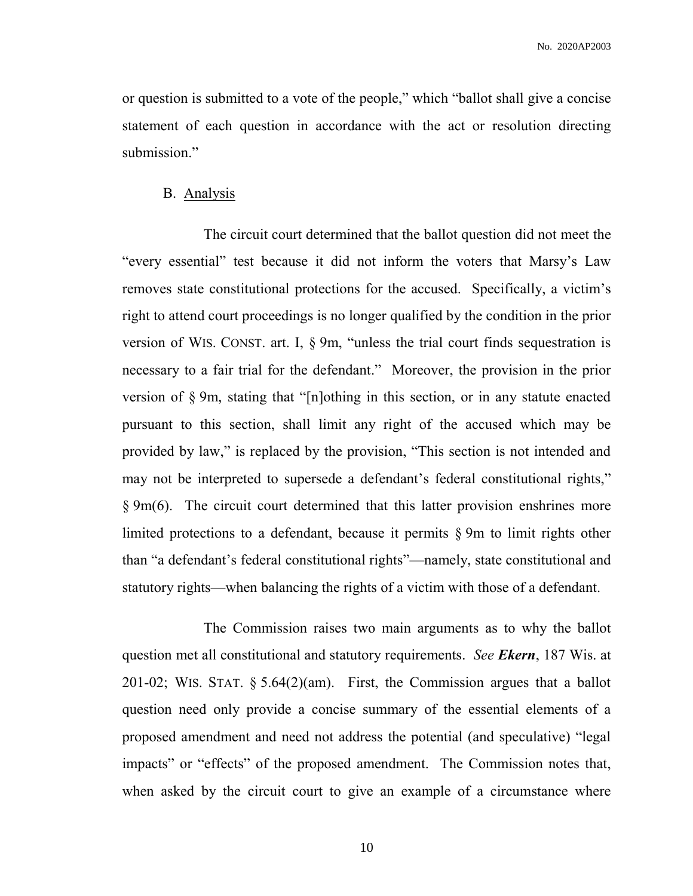or question is submitted to a vote of the people," which "ballot shall give a concise statement of each question in accordance with the act or resolution directing submission."

### B. Analysis

The circuit court determined that the ballot question did not meet the "every essential" test because it did not inform the voters that Marsy's Law removes state constitutional protections for the accused. Specifically, a victim's right to attend court proceedings is no longer qualified by the condition in the prior version of WIS. CONST. art. I, § 9m, "unless the trial court finds sequestration is necessary to a fair trial for the defendant." Moreover, the provision in the prior version of § 9m, stating that "[n]othing in this section, or in any statute enacted pursuant to this section, shall limit any right of the accused which may be provided by law," is replaced by the provision, "This section is not intended and may not be interpreted to supersede a defendant's federal constitutional rights," § 9m(6). The circuit court determined that this latter provision enshrines more limited protections to a defendant, because it permits § 9m to limit rights other than "a defendant's federal constitutional rights"—namely, state constitutional and statutory rights—when balancing the rights of a victim with those of a defendant.

The Commission raises two main arguments as to why the ballot question met all constitutional and statutory requirements. *See Ekern*, 187 Wis. at 201-02; WIS. STAT. § 5.64(2)(am). First, the Commission argues that a ballot question need only provide a concise summary of the essential elements of a proposed amendment and need not address the potential (and speculative) "legal impacts" or "effects" of the proposed amendment. The Commission notes that, when asked by the circuit court to give an example of a circumstance where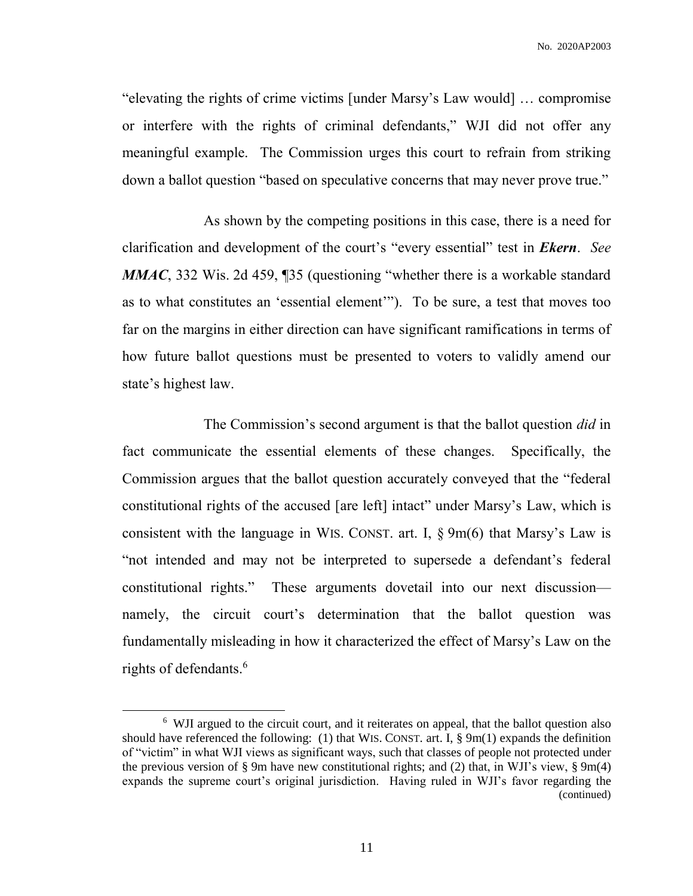"elevating the rights of crime victims [under Marsy's Law would] … compromise or interfere with the rights of criminal defendants," WJI did not offer any meaningful example. The Commission urges this court to refrain from striking down a ballot question "based on speculative concerns that may never prove true."

As shown by the competing positions in this case, there is a need for clarification and development of the court's "every essential" test in *Ekern*. *See MMAC*, 332 Wis. 2d 459, 135 (questioning "whether there is a workable standard as to what constitutes an 'essential element'"). To be sure, a test that moves too far on the margins in either direction can have significant ramifications in terms of how future ballot questions must be presented to voters to validly amend our state's highest law.

The Commission's second argument is that the ballot question *did* in fact communicate the essential elements of these changes. Specifically, the Commission argues that the ballot question accurately conveyed that the "federal constitutional rights of the accused [are left] intact" under Marsy's Law, which is consistent with the language in WIS. CONST. art. I, § 9m(6) that Marsy's Law is "not intended and may not be interpreted to supersede a defendant's federal constitutional rights." These arguments dovetail into our next discussion namely, the circuit court's determination that the ballot question was fundamentally misleading in how it characterized the effect of Marsy's Law on the rights of defendants. 6

l

<sup>&</sup>lt;sup>6</sup> WJI argued to the circuit court, and it reiterates on appeal, that the ballot question also should have referenced the following: (1) that WIS. CONST. art. I,  $\S$  9m(1) expands the definition of "victim" in what WJI views as significant ways, such that classes of people not protected under the previous version of § 9m have new constitutional rights; and (2) that, in WJI's view, § 9m(4) expands the supreme court's original jurisdiction. Having ruled in WJI's favor regarding the (continued)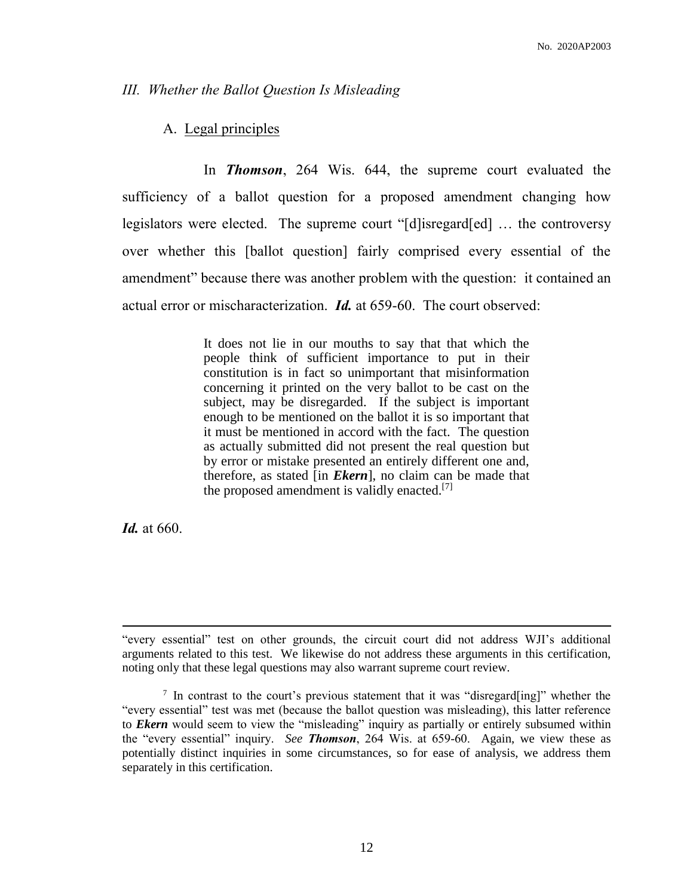### *III. Whether the Ballot Question Is Misleading*

## A. Legal principles

In *Thomson*, 264 Wis. 644, the supreme court evaluated the sufficiency of a ballot question for a proposed amendment changing how legislators were elected. The supreme court "[d]isregard[ed] … the controversy over whether this [ballot question] fairly comprised every essential of the amendment" because there was another problem with the question: it contained an actual error or mischaracterization. *Id.* at 659-60.The court observed:

> It does not lie in our mouths to say that that which the people think of sufficient importance to put in their constitution is in fact so unimportant that misinformation concerning it printed on the very ballot to be cast on the subject, may be disregarded. If the subject is important enough to be mentioned on the ballot it is so important that it must be mentioned in accord with the fact. The question as actually submitted did not present the real question but by error or mistake presented an entirely different one and, therefore, as stated [in *Ekern*], no claim can be made that the proposed amendment is validly enacted.<sup>[7]</sup>

*Id.* at 660.

 $\overline{\phantom{a}}$ 

<sup>&</sup>quot;every essential" test on other grounds, the circuit court did not address WJI's additional arguments related to this test. We likewise do not address these arguments in this certification, noting only that these legal questions may also warrant supreme court review.

 $7$  In contrast to the court's previous statement that it was "disregard[ing]" whether the "every essential" test was met (because the ballot question was misleading), this latter reference to *Ekern* would seem to view the "misleading" inquiry as partially or entirely subsumed within the "every essential" inquiry. *See Thomson*, 264 Wis. at 659-60. Again, we view these as potentially distinct inquiries in some circumstances, so for ease of analysis, we address them separately in this certification.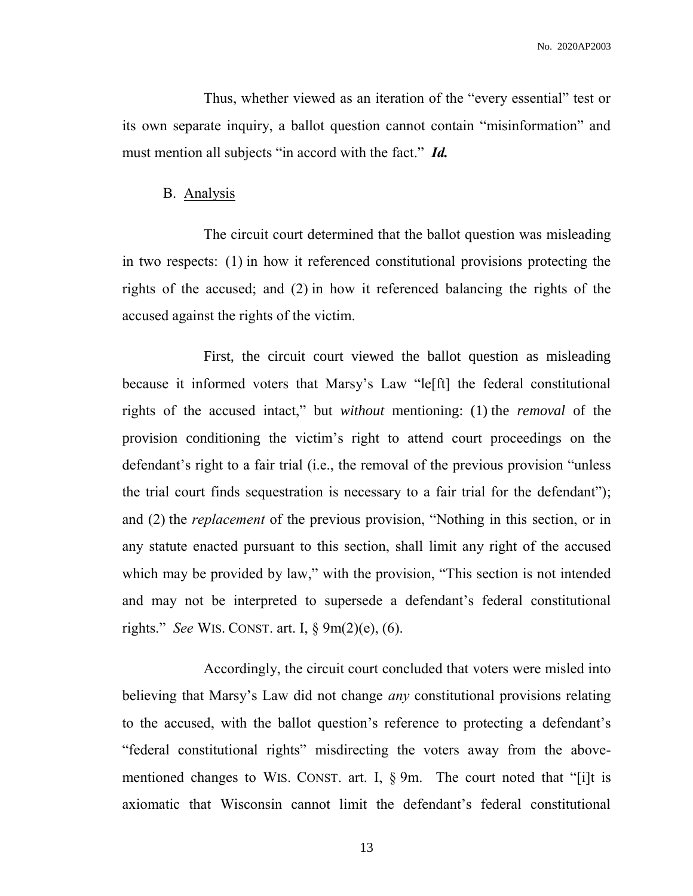Thus, whether viewed as an iteration of the "every essential" test or its own separate inquiry, a ballot question cannot contain "misinformation" and must mention all subjects "in accord with the fact." *Id.*

### B. Analysis

The circuit court determined that the ballot question was misleading in two respects: (1) in how it referenced constitutional provisions protecting the rights of the accused; and (2) in how it referenced balancing the rights of the accused against the rights of the victim.

First, the circuit court viewed the ballot question as misleading because it informed voters that Marsy's Law "le[ft] the federal constitutional rights of the accused intact," but *without* mentioning: (1) the *removal* of the provision conditioning the victim's right to attend court proceedings on the defendant's right to a fair trial (i.e., the removal of the previous provision "unless the trial court finds sequestration is necessary to a fair trial for the defendant"); and (2) the *replacement* of the previous provision, "Nothing in this section, or in any statute enacted pursuant to this section, shall limit any right of the accused which may be provided by law," with the provision, "This section is not intended and may not be interpreted to supersede a defendant's federal constitutional rights." *See* WIS. CONST. art. I, § 9m(2)(e), (6).

Accordingly, the circuit court concluded that voters were misled into believing that Marsy's Law did not change *any* constitutional provisions relating to the accused, with the ballot question's reference to protecting a defendant's "federal constitutional rights" misdirecting the voters away from the abovementioned changes to WIS. CONST. art. I,  $\S$  9m. The court noted that "[i]t is axiomatic that Wisconsin cannot limit the defendant's federal constitutional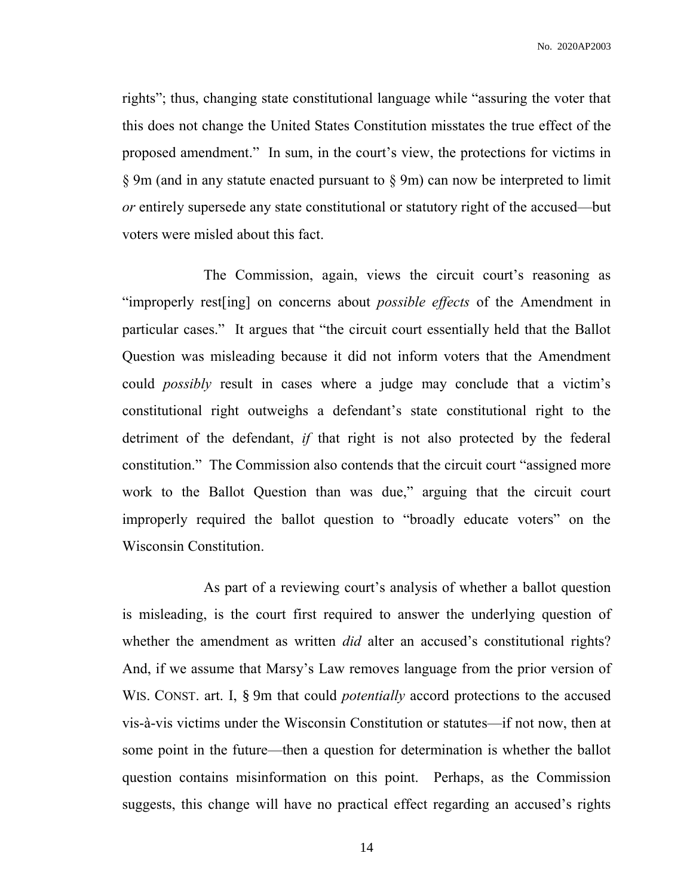rights"; thus, changing state constitutional language while "assuring the voter that this does not change the United States Constitution misstates the true effect of the proposed amendment." In sum, in the court's view, the protections for victims in § 9m (and in any statute enacted pursuant to § 9m) can now be interpreted to limit *or* entirely supersede any state constitutional or statutory right of the accused—but voters were misled about this fact.

The Commission, again, views the circuit court's reasoning as "improperly rest[ing] on concerns about *possible effects* of the Amendment in particular cases." It argues that "the circuit court essentially held that the Ballot Question was misleading because it did not inform voters that the Amendment could *possibly* result in cases where a judge may conclude that a victim's constitutional right outweighs a defendant's state constitutional right to the detriment of the defendant, *if* that right is not also protected by the federal constitution." The Commission also contends that the circuit court "assigned more work to the Ballot Question than was due," arguing that the circuit court improperly required the ballot question to "broadly educate voters" on the Wisconsin Constitution.

As part of a reviewing court's analysis of whether a ballot question is misleading, is the court first required to answer the underlying question of whether the amendment as written *did* alter an accused's constitutional rights? And, if we assume that Marsy's Law removes language from the prior version of WIS. CONST. art. I, § 9m that could *potentially* accord protections to the accused vis-à-vis victims under the Wisconsin Constitution or statutes—if not now, then at some point in the future—then a question for determination is whether the ballot question contains misinformation on this point. Perhaps, as the Commission suggests, this change will have no practical effect regarding an accused's rights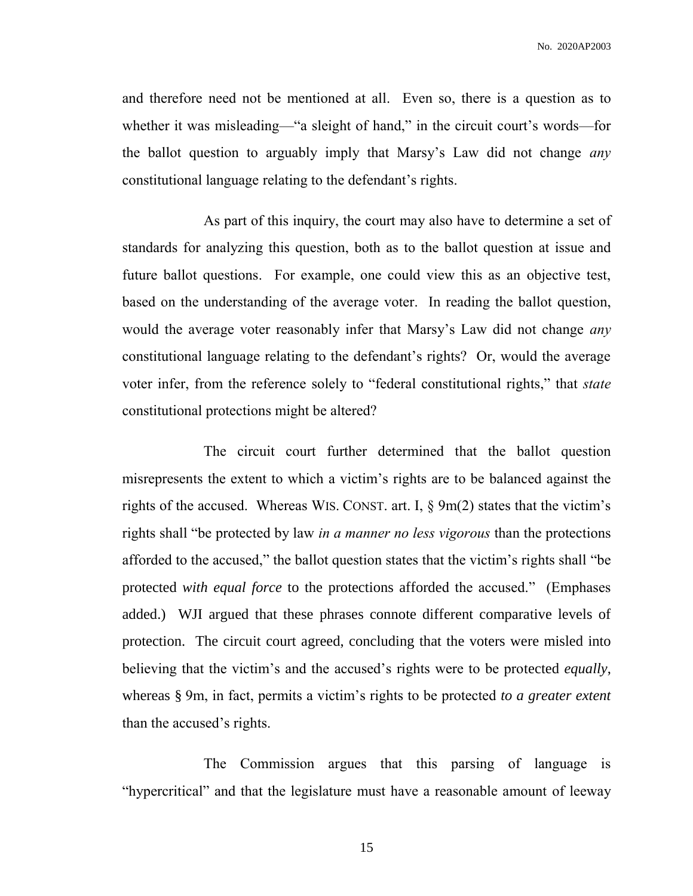and therefore need not be mentioned at all. Even so, there is a question as to whether it was misleading—"a sleight of hand," in the circuit court's words—for the ballot question to arguably imply that Marsy's Law did not change *any* constitutional language relating to the defendant's rights.

As part of this inquiry, the court may also have to determine a set of standards for analyzing this question, both as to the ballot question at issue and future ballot questions. For example, one could view this as an objective test, based on the understanding of the average voter. In reading the ballot question, would the average voter reasonably infer that Marsy's Law did not change *any* constitutional language relating to the defendant's rights? Or, would the average voter infer, from the reference solely to "federal constitutional rights," that *state* constitutional protections might be altered?

The circuit court further determined that the ballot question misrepresents the extent to which a victim's rights are to be balanced against the rights of the accused. Whereas WIS. CONST. art. I, § 9m(2) states that the victim's rights shall "be protected by law *in a manner no less vigorous* than the protections afforded to the accused," the ballot question states that the victim's rights shall "be protected *with equal force* to the protections afforded the accused." (Emphases added.) WJI argued that these phrases connote different comparative levels of protection. The circuit court agreed, concluding that the voters were misled into believing that the victim's and the accused's rights were to be protected *equally*, whereas § 9m, in fact, permits a victim's rights to be protected *to a greater extent* than the accused's rights.

The Commission argues that this parsing of language is "hypercritical" and that the legislature must have a reasonable amount of leeway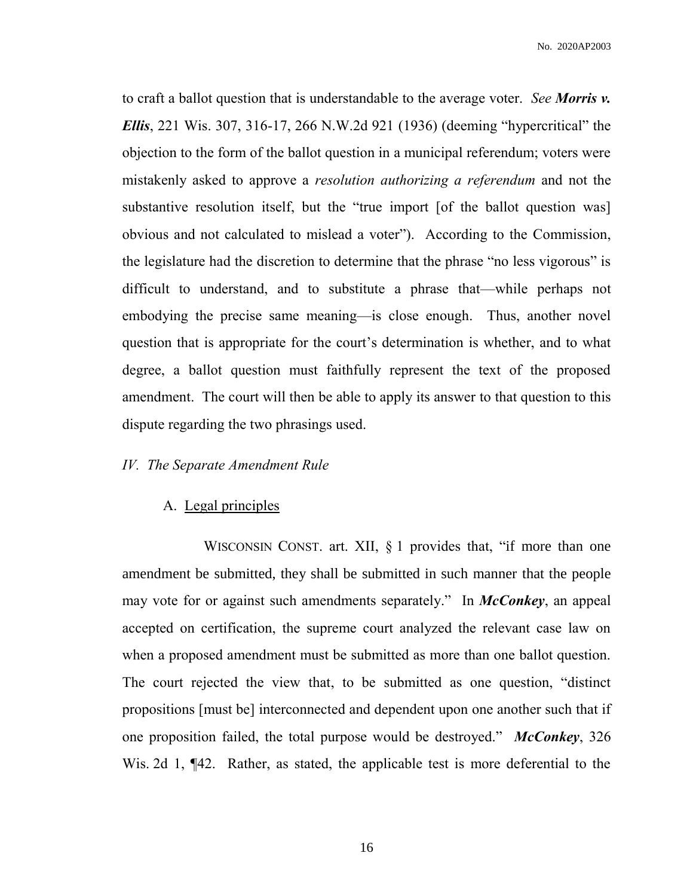to craft a ballot question that is understandable to the average voter. *See Morris v. Ellis*, 221 Wis. 307, 316-17, 266 N.W.2d 921 (1936) (deeming "hypercritical" the objection to the form of the ballot question in a municipal referendum; voters were mistakenly asked to approve a *resolution authorizing a referendum* and not the substantive resolution itself, but the "true import [of the ballot question was] obvious and not calculated to mislead a voter"). According to the Commission, the legislature had the discretion to determine that the phrase "no less vigorous" is difficult to understand, and to substitute a phrase that—while perhaps not embodying the precise same meaning—is close enough. Thus, another novel question that is appropriate for the court's determination is whether, and to what degree, a ballot question must faithfully represent the text of the proposed amendment. The court will then be able to apply its answer to that question to this dispute regarding the two phrasings used.

### *IV. The Separate Amendment Rule*

## A. Legal principles

WISCONSIN CONST. art. XII, § 1 provides that, "if more than one amendment be submitted, they shall be submitted in such manner that the people may vote for or against such amendments separately." In *McConkey*, an appeal accepted on certification, the supreme court analyzed the relevant case law on when a proposed amendment must be submitted as more than one ballot question. The court rejected the view that, to be submitted as one question, "distinct propositions [must be] interconnected and dependent upon one another such that if one proposition failed, the total purpose would be destroyed." *McConkey*, 326 Wis. 2d 1, ¶42. Rather, as stated, the applicable test is more deferential to the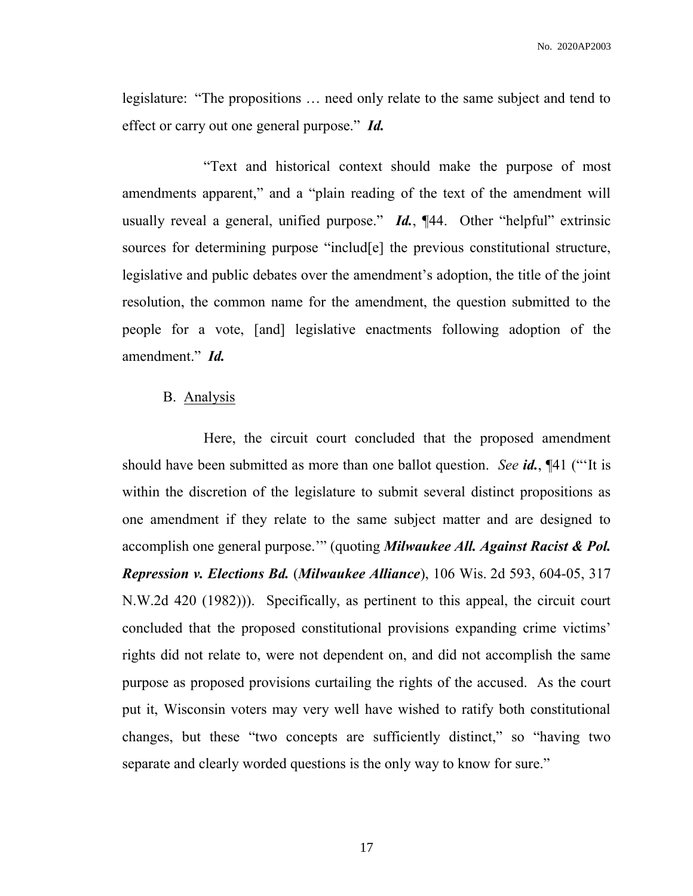legislature: "The propositions … need only relate to the same subject and tend to effect or carry out one general purpose." *Id.*

"Text and historical context should make the purpose of most amendments apparent," and a "plain reading of the text of the amendment will usually reveal a general, unified purpose." *Id.*, ¶44. Other "helpful" extrinsic sources for determining purpose "includ[e] the previous constitutional structure, legislative and public debates over the amendment's adoption, the title of the joint resolution, the common name for the amendment, the question submitted to the people for a vote, [and] legislative enactments following adoption of the amendment." *Id.*

## B. Analysis

Here, the circuit court concluded that the proposed amendment should have been submitted as more than one ballot question. *See id.*, ¶41 ("'It is within the discretion of the legislature to submit several distinct propositions as one amendment if they relate to the same subject matter and are designed to accomplish one general purpose.'" (quoting *Milwaukee All. Against Racist & Pol. Repression v. Elections Bd.* (*Milwaukee Alliance*), 106 Wis. 2d 593, 604-05, 317 N.W.2d 420 (1982))). Specifically, as pertinent to this appeal, the circuit court concluded that the proposed constitutional provisions expanding crime victims' rights did not relate to, were not dependent on, and did not accomplish the same purpose as proposed provisions curtailing the rights of the accused. As the court put it, Wisconsin voters may very well have wished to ratify both constitutional changes, but these "two concepts are sufficiently distinct," so "having two separate and clearly worded questions is the only way to know for sure."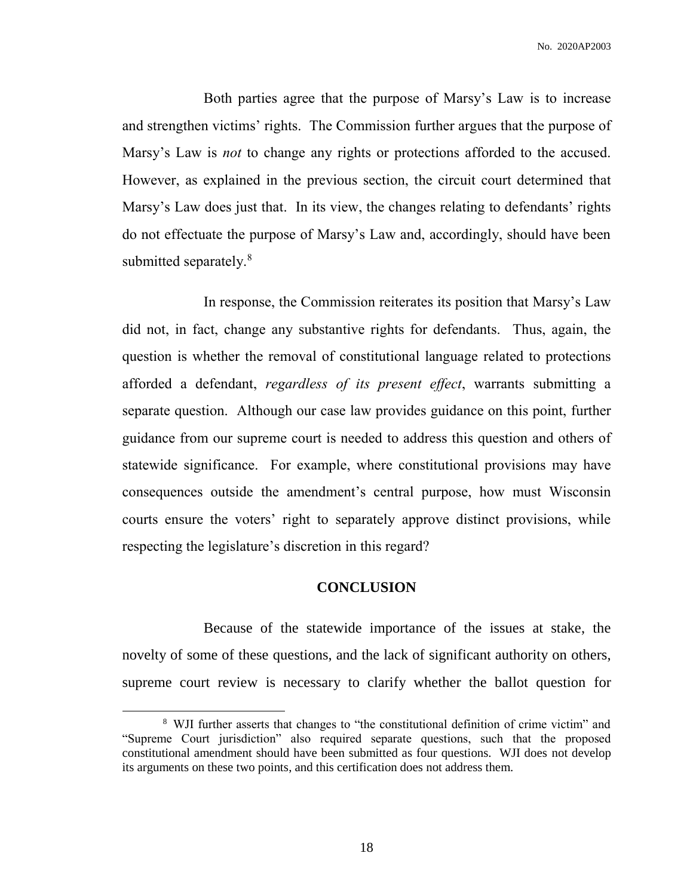Both parties agree that the purpose of Marsy's Law is to increase and strengthen victims' rights. The Commission further argues that the purpose of Marsy's Law is *not* to change any rights or protections afforded to the accused. However, as explained in the previous section, the circuit court determined that Marsy's Law does just that. In its view, the changes relating to defendants' rights do not effectuate the purpose of Marsy's Law and, accordingly, should have been submitted separately.<sup>8</sup>

In response, the Commission reiterates its position that Marsy's Law did not, in fact, change any substantive rights for defendants. Thus, again, the question is whether the removal of constitutional language related to protections afforded a defendant, *regardless of its present effect*, warrants submitting a separate question. Although our case law provides guidance on this point, further guidance from our supreme court is needed to address this question and others of statewide significance. For example, where constitutional provisions may have consequences outside the amendment's central purpose, how must Wisconsin courts ensure the voters' right to separately approve distinct provisions, while respecting the legislature's discretion in this regard?

## **CONCLUSION**

Because of the statewide importance of the issues at stake, the novelty of some of these questions, and the lack of significant authority on others, supreme court review is necessary to clarify whether the ballot question for

 $\overline{a}$ 

<sup>&</sup>lt;sup>8</sup> WJI further asserts that changes to "the constitutional definition of crime victim" and "Supreme Court jurisdiction" also required separate questions, such that the proposed constitutional amendment should have been submitted as four questions. WJI does not develop its arguments on these two points, and this certification does not address them.